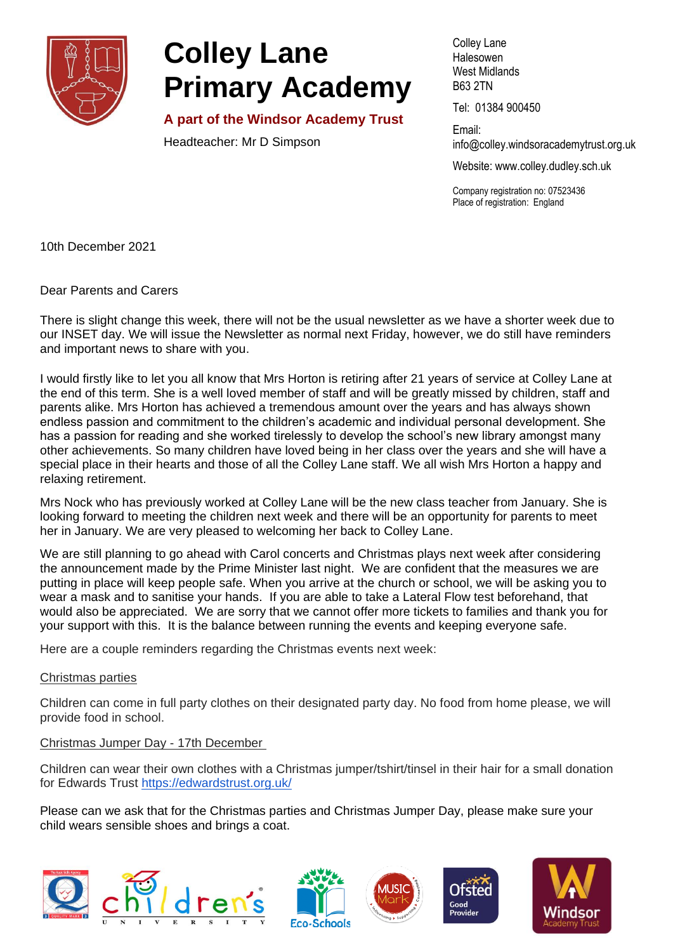

## **Colley Lane Primary Academy**

**A part of the Windsor Academy Trust**

Headteacher: Mr D Simpson

Colley Lane Halesowen West Midlands B63 2TN

Tel: 01384 900450

Email: info@colley[.windsoracademytrust.org.uk](http://www.windsoracademytrust.org.uk/)

Website: www.colley.dudley.sch.uk

Company registration no: 07523436 Place of registration: England

10th December 2021

Dear Parents and Carers

There is slight change this week, there will not be the usual newsletter as we have a shorter week due to our INSET day. We will issue the Newsletter as normal next Friday, however, we do still have reminders and important news to share with you.

I would firstly like to let you all know that Mrs Horton is retiring after 21 years of service at Colley Lane at the end of this term. She is a well loved member of staff and will be greatly missed by children, staff and parents alike. Mrs Horton has achieved a tremendous amount over the years and has always shown endless passion and commitment to the children's academic and individual personal development. She has a passion for reading and she worked tirelessly to develop the school's new library amongst many other achievements. So many children have loved being in her class over the years and she will have a special place in their hearts and those of all the Colley Lane staff. We all wish Mrs Horton a happy and relaxing retirement.

Mrs Nock who has previously worked at Colley Lane will be the new class teacher from January. She is looking forward to meeting the children next week and there will be an opportunity for parents to meet her in January. We are very pleased to welcoming her back to Colley Lane.

We are still planning to go ahead with Carol concerts and Christmas plays next week after considering the announcement made by the Prime Minister last night. We are confident that the measures we are putting in place will keep people safe. When you arrive at the church or school, we will be asking you to wear a mask and to sanitise your hands. If you are able to take a Lateral Flow test beforehand, that would also be appreciated. We are sorry that we cannot offer more tickets to families and thank you for your support with this. It is the balance between running the events and keeping everyone safe.

Here are a couple reminders regarding the Christmas events next week:

## Christmas parties

Children can come in full party clothes on their designated party day. No food from home please, we will provide food in school.

## Christmas Jumper Day - 17th December

Children can wear their own clothes with a Christmas jumper/tshirt/tinsel in their hair for a small donation for Edwards Trust <https://edwardstrust.org.uk/>

Please can we ask that for the Christmas parties and Christmas Jumper Day, please make sure your child wears sensible shoes and brings a coat.